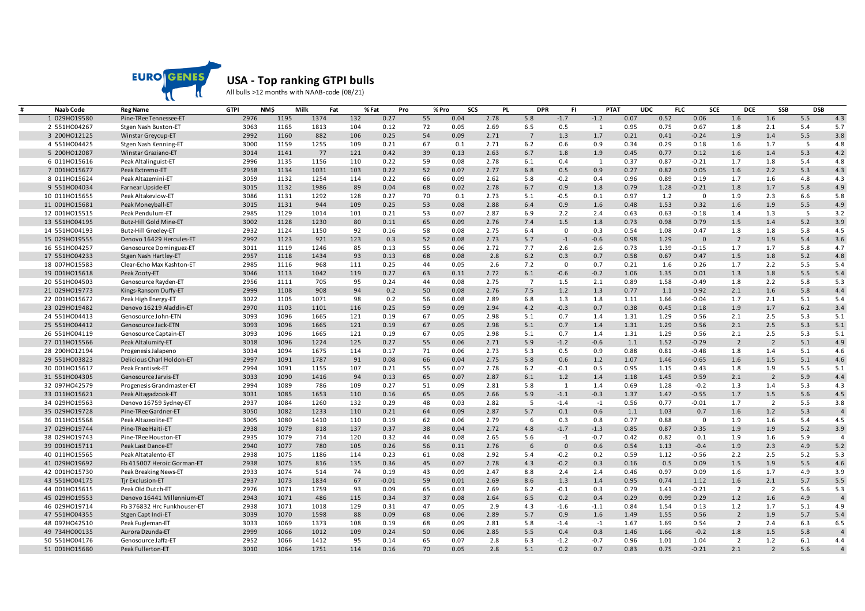

## **USA - Top ranking GTPI bulls**

All bulls >12 months with NAAB-code (08/21)

| Naab Code     | <b>Reg Name</b>               | <b>GTPI</b> | NM\$ | Milk<br>Fat |     | % Fat<br>Pro | % Pro | SCS  | <b>PL</b> | <b>DPR</b>     | FI.            | <b>PTAT</b>    | <b>UDC</b> | FLC  | SCE          | <b>DCE</b>     | SSB            | <b>DSB</b> |                |
|---------------|-------------------------------|-------------|------|-------------|-----|--------------|-------|------|-----------|----------------|----------------|----------------|------------|------|--------------|----------------|----------------|------------|----------------|
| 1 029H019580  | Pine-TRee Tennessee-ET        | 2976        | 1195 | 1374        | 132 | 0.27         | 55    | 0.04 | 2.78      | 5.8            | $-1.7$         | $-1.2$         | 0.07       | 0.52 | 0.06         | 1.6            | 1.6            | 5.5        | 4.3            |
| 2 551H004267  | Stgen Nash Buxton-ET          | 3063        | 1165 | 1813        | 104 | 0.12         | 72    | 0.05 | 2.69      | 6.5            | 0.5            | $\mathbf{1}$   | 0.95       | 0.75 | 0.67         | 1.8            | 2.1            | 5.4        | 5.7            |
| 3 200HO12125  | Winstar Greycup-ET            | 2992        | 1160 | 882         | 106 | 0.25         | 54    | 0.09 | 2.71      | $\overline{7}$ | 1.3            | 1.7            | 0.21       | 0.41 | $-0.24$      | 1.9            | 1.4            | 5.5        | 3.8            |
| 4 551HO04425  | Stgen Nash Kenning-ET         | 3000        | 1159 | 1255        | 109 | 0.21         | 67    | 0.1  | 2.71      | $6.2$          | 0.6            | 0.9            | 0.34       | 0.29 | 0.18         | 1.6            | 1.7            | 5          | 4.8            |
| 5 200HO12087  | Winstar Graziano-ET           | 3014        | 1141 | 77          | 121 | 0.42         | 39    | 0.13 | 2.63      | 6.7            | 1.8            | 1.9            | 0.45       | 0.77 | 0.12         | 1.6            | 1.4            | 5.3        | 4.2            |
| 6 011H015616  | Peak Altalinguist-ET          | 2996        | 1135 | 1156        | 110 | 0.22         | 59    | 0.08 | 2.78      | 6.1            | 0.4            | $\overline{1}$ | 0.37       | 0.87 | $-0.21$      | 1.7            | 1.8            | 5.4        | 4.8            |
| 7 001HO15677  | Peak Extremo-ET               | 2958        | 1134 | 1031        | 103 | 0.22         | 52    | 0.07 | 2.77      | 6.8            | 0.5            | 0.9            | 0.27       | 0.82 | 0.05         | 1.6            | 2.2            | 5.3        | 4.3            |
| 8 011HO15624  | Peak Altazemini-ET            | 3059        | 1132 | 1254        | 114 | 0.22         | 66    | 0.09 | 2.62      | 5.8            | $-0.2$         | 0.4            | 0.96       | 0.89 | 0.19         | 1.7            | 1.6            | 4.8        | 4.3            |
| 9 551HO04034  | Farnear Upside-ET             | 3015        | 1132 | 1986        | 89  | 0.04         | 68    | 0.02 | 2.78      | 6.7            | 0.9            | 1.8            | 0.79       | 1.28 | $-0.21$      | 1.8            | 1.7            | 5.8        | 4.9            |
| 10 011H015655 | Peak Altakevlow-ET            | 3086        | 1131 | 1292        | 128 | 0.27         | 70    | 0.1  | 2.73      | 5.1            | $-0.5$         | 0.1            | 0.97       | 1.2  | $\Omega$     | 1.9            | 2.3            | 6.6        | 5.8            |
| 11 001H015681 | Peak Moneyball-ET             | 3015        | 1131 | 944         | 109 | 0.25         | 53    | 0.08 | 2.88      | 6.4            | 0.9            | 1.6            | 0.48       | 1.53 | 0.32         | 1.6            | 1.9            | 5.5        | 4.9            |
| 12 001H015515 | Peak Pendulum-ET              | 2985        | 1129 | 1014        | 101 | 0.21         | 53    | 0.07 | 2.87      | 6.9            | 2.2            | 2.4            | 0.63       | 0.63 | $-0.18$      | 1.4            | 1.3            | 5          | 3.2            |
| 13 551H004195 | <b>Butz-Hill Gold Mine-ET</b> | 3002        | 1128 | 1230        | 80  | 0.11         | 65    | 0.09 | 2.76      | 7.4            | 1.5            | 1.8            | 0.73       | 0.98 | 0.79         | 1.5            | 1.4            | 5.2        | 3.9            |
| 14 551H004193 | Butz-Hill Greeley-ET          | 2932        | 1124 | 1150        | 92  | 0.16         | 58    | 0.08 | 2.75      | 6.4            | $\mathbf 0$    | 0.3            | 0.54       | 1.08 | 0.47         | 1.8            | 1.8            | 5.8        | 4.5            |
| 15 029H019555 | Denovo 16429 Hercules-ET      | 2992        | 1123 | 921         | 123 | 0.3          | 52    | 0.08 | 2.73      | 5.7            | $-1$           | $-0.6$         | 0.98       | 1.29 | $\mathbf{0}$ | $\overline{2}$ | 1.9            | 5.4        | 3.6            |
| 16 551H004257 | Genosource Dominguez-ET       | 3011        | 1119 | 1246        | 85  | 0.13         | 55    | 0.06 | 2.72      | 7.7            | 2.6            | 2.6            | 0.73       | 1.39 | $-0.15$      | 1.7            | 1.7            | 5.8        | 4.7            |
| 17 551H004233 | Stgen Nash Hartley-ET         | 2957        | 1118 | 1434        | 93  | 0.13         | 68    | 0.08 | 2.8       | $6.2$          | 0.3            | 0.7            | 0.58       | 0.67 | 0.47         | 1.5            | 1.8            | 5.2        | 4.8            |
| 18 007H015583 | Clear-Echo Max Kashton-ET     | 2985        | 1116 | 968         | 111 | 0.25         | 44    | 0.05 | 2.6       | 7.2            | $\overline{0}$ | 0.7            | 0.21       | 1.6  | 0.26         | 1.7            | 2.2            | 5.5        | 5.4            |
| 19 001H015618 | Peak Zooty-ET                 | 3046        | 1113 | 1042        | 119 | 0.27         | 63    | 0.11 | 2.72      | 6.1            | $-0.6$         | $-0.2$         | 1.06       | 1.35 | 0.01         | 1.3            | 1.8            | 5.5        | 5.4            |
| 20 551H004503 | Genosource Rayden-ET          | 2956        | 1111 | 705         | 95  | 0.24         | 44    | 0.08 | 2.75      | $\overline{7}$ | 1.5            | 2.1            | 0.89       | 1.58 | $-0.49$      | 1.8            | 2.2            | 5.8        | 5.3            |
| 21 029H019773 | Kings-Ransom Duffy-ET         | 2999        | 1108 | 908         | 94  | 0.2          | 50    | 0.08 | 2.76      | 7.5            | 1.2            | 1.3            | 0.77       | 1.1  | 0.92         | 2.1            | 1.6            | 5.8        | 4.4            |
| 22 001H015672 | Peak High Energy-ET           | 3022        | 1105 | 1071        | 98  | 0.2          | 56    | 0.08 | 2.89      | 6.8            | 1.3            | 1.8            | 1.11       | 1.66 | $-0.04$      | 1.7            | 2.1            | 5.1        | 5.4            |
| 23 029HO19482 | Denovo 16219 Aladdin-ET       | 2970        | 1103 | 1101        | 116 | 0.25         | 59    | 0.09 | 2.94      | 4.2            | $-0.3$         | 0.7            | 0.38       | 0.45 | 0.18         | 1.9            | 1.7            | $6.2$      | 3.4            |
| 24 551H004413 | Genosource John-ETN           | 3093        | 1096 | 1665        | 121 | 0.19         | 67    | 0.05 | 2.98      | 5.1            | 0.7            | 1.4            | 1.31       | 1.29 | 0.56         | 2.1            | 2.5            | 5.3        | 5.1            |
| 25 551H004412 | Genosource Jack-ETN           | 3093        | 1096 | 1665        | 121 | 0.19         | 67    | 0.05 | 2.98      | 5.1            | 0.7            | 1.4            | 1.31       | 1.29 | 0.56         | 2.1            | 2.5            | 5.3        | 5.1            |
| 26 551H004119 | Genosource Captain-ET         | 3093        | 1096 | 1665        | 121 | 0.19         | 67    | 0.05 | 2.98      | 5.1            | 0.7            | 1.4            | 1.31       | 1.29 | 0.56         | 2.1            | 2.5            | 5.3        | 5.1            |
| 27 011H015566 | Peak Altalumify-ET            | 3018        | 1096 | 1224        | 125 | 0.27         | 55    | 0.06 | 2.71      | 5.9            | $-1.2$         | $-0.6$         | 1.1        | 1.52 | $-0.29$      | $\overline{2}$ | $\overline{2}$ | 5.1        | 4.9            |
| 28 200HO12194 | Progenesis Jalapeno           | 3034        | 1094 | 1675        | 114 | 0.17         | 71    | 0.06 | 2.73      | 5.3            | 0.5            | 0.9            | 0.88       | 0.81 | $-0.48$      | 1.8            | 1.4            | 5.1        | 4.6            |
| 29 551H003823 | Delicious Charl Holdon-ET     | 2997        | 1091 | 1787        | 91  | 0.08         | 66    | 0.04 | 2.75      | 5.8            | 0.6            | 1.2            | 1.07       | 1.46 | $-0.65$      | 1.6            | 1.5            | 5.1        | 4.6            |
| 30 001H015617 | Peak Frantisek-ET             | 2994        | 1091 | 1155        | 107 | 0.21         | 55    | 0.07 | 2.78      | 6.2            | $-0.1$         | 0.5            | 0.95       | 1.15 | 0.43         | 1.8            | 1.9            | 5.5        | 5.1            |
| 31 551H004305 | Genosource Jarvis-ET          | 3033        | 1090 | 1416        | 94  | 0.13         | 65    | 0.07 | 2.87      | 6.1            | 1.2            | 1.4            | 1.18       | 1.45 | 0.59         | 2.1            | $\overline{2}$ | 5.9        | 4.4            |
| 32 097H042579 | Progenesis Grandmaster-ET     | 2994        | 1089 | 786         | 109 | 0.27         | 51    | 0.09 | 2.81      | 5.8            | 1              | 1.4            | 0.69       | 1.28 | $-0.2$       | 1.3            | 1.4            | 5.3        | 4.3            |
| 33 011H015621 | Peak Altagadzook-ET           | 3031        | 1085 | 1653        | 110 | 0.16         | 65    | 0.05 | 2.66      | 5.9            | $-1.1$         | $-0.3$         | 1.37       | 1.47 | $-0.55$      | 1.7            | 1.5            | 5.6        | 4.5            |
| 34 029H019563 | Denovo 16759 Sydney-ET        | 2937        | 1084 | 1260        | 132 | 0.29         | 48    | 0.03 | 2.82      | 5              | $-1.4$         | $-1$           | 0.56       | 0.77 | $-0.01$      | 1.7            | $\overline{2}$ | 5.5        | 3.8            |
| 35 029HO19728 | Pine-TRee Gardner-ET          | 3050        | 1082 | 1233        | 110 | 0.21         | 64    | 0.09 | 2.87      | 5.7            | 0.1            | 0.6            | 1.1        | 1.03 | 0.7          | 1.6            | 1.2            | 5.3        | $\overline{4}$ |
| 36 011H015568 | Peak Altazeolite-ET           | 3005        | 1080 | 1410        | 110 | 0.19         | 62    | 0.06 | 2.79      | 6              | 0.3            | 0.8            | 0.77       | 0.88 | $\Omega$     | 1.9            | 1.6            | 5.4        | 4.5            |
| 37 029HO19744 | Pine-TRee Haiti-ET            | 2938        | 1079 | 818         | 137 | 0.37         | 38    | 0.04 | 2.72      | 4.8            | $-1.7$         | $-1.3$         | 0.85       | 0.87 | 0.35         | 1.9            | 1.9            | 5.2        | 3.9            |
| 38 029HO19743 | Pine-TRee Houston-ET          | 2935        | 1079 | 714         | 120 | 0.32         | 44    | 0.08 | 2.65      | 5.6            | $-1$           | $-0.7$         | 0.42       | 0.82 | 0.1          | 1.9            | 1.6            | 5.9        | $\overline{4}$ |
| 39 001H015711 | Peak Last Dance-ET            | 2940        | 1077 | 780         | 105 | 0.26         | 56    | 0.11 | 2.76      | 6              | $\overline{0}$ | 0.6            | 0.54       | 1.13 | $-0.4$       | 1.9            | 2.3            | 4.9        | 5.2            |
| 40 011H015565 | Peak Altatalento-ET           | 2938        | 1075 | 1186        | 114 | 0.23         | 61    | 0.08 | 2.92      | 5.4            | $-0.2$         | 0.2            | 0.59       | 1.12 | $-0.56$      | 2.2            | 2.5            | 5.2        | 5.3            |
| 41 029HO19692 | Fb 415007 Heroic Gorman-ET    | 2938        | 1075 | 816         | 135 | 0.36         | 45    | 0.07 | 2.78      | 4.3            | $-0.2$         | 0.3            | 0.16       | 0.5  | 0.09         | 1.5            | 1.9            | 5.5        | 4.6            |
| 42 001H015730 | Peak Breaking News-ET         | 2933        | 1074 | 514         | 74  | 0.19         | 43    | 0.09 | 2.47      | 8.8            | 2.4            | 2.4            | 0.46       | 0.97 | 0.09         | 1.6            | 1.7            | 4.9        | 3.9            |
| 43 551H004175 | Tjr Exclusion-ET              | 2937        | 1073 | 1834        | 67  | $-0.01$      | 59    | 0.01 | 2.69      | 8.6            | 1.3            | 1.4            | 0.95       | 0.74 | 1.12         | 1.6            | 2.1            | 5.7        | 5.5            |
| 44 001H015615 | Peak Old Dutch-ET             | 2976        | 1071 | 1759        | 93  | 0.09         | 65    | 0.03 | 2.69      | 6.2            | $-0.1$         | 0.3            | 0.79       | 1.41 | $-0.21$      | $\overline{2}$ | 2              | 5.6        | 5.3            |
| 45 029HO19553 | Denovo 16441 Millennium-ET    | 2943        | 1071 | 486         | 115 | 0.34         | 37    | 0.08 | 2.64      | 6.5            | 0.2            | 0.4            | 0.29       | 0.99 | 0.29         | 1.2            | 1.6            | 4.9        | $\overline{4}$ |
| 46 029HO19714 | Fb 376832 Hrc Funkhouser-ET   | 2938        | 1071 | 1018        | 129 | 0.31         | 47    | 0.05 | 2.9       | 4.3            | $-1.6$         | $-1.1$         | 0.84       | 1.54 | 0.13         | 1.2            | 1.7            | 5.1        | 4.9            |
| 47 551H004355 | Stgen Capt Indi-ET            | 3039        | 1070 | 1598        | 88  | 0.09         | 68    | 0.06 | 2.89      | 5.7            | 0.9            | 1.6            | 1.49       | 1.55 | 0.56         | $\overline{2}$ | 1.9            | 5.7        | 5.4            |
| 48 097H042510 | Peak Fugleman-ET              | 3033        | 1069 | 1373        | 108 | 0.19         | 68    | 0.09 | 2.81      | 5.8            | $-1.4$         | $-1$           | 1.67       | 1.69 | 0.54         | $\overline{2}$ | 2.4            | 6.3        | 6.5            |
| 49 734H000135 | Aurora Dzunda-ET              | 2999        | 1066 | 1012        | 109 | 0.24         | 50    | 0.06 | 2.85      | 5.5            | 0.4            | 0.8            | 1.46       | 1.66 | $-0.2$       | 1.8            | 1.5            | 5.8        | $\overline{4}$ |
| 50 551H004176 | Genosource Jaffa-ET           | 2952        | 1066 | 1412        | 95  | 0.14         | 65    | 0.07 | 2.8       | 6.3            | $-1.2$         | $-0.7$         | 0.96       | 1.01 | 1.04         | 2              | 1.2            | 6.1        | 4.4            |
| 51 001H015680 | Peak Fullerton-ET             | 3010        | 1064 | 1751        | 114 | 0.16         | 70    | 0.05 | 2.8       | 5.1            | 0.2            | 0.7            | 0.83       | 0.75 | $-0.21$      | 2.1            | $\overline{2}$ | 5.6        | $\overline{4}$ |
|               |                               |             |      |             |     |              |       |      |           |                |                |                |            |      |              |                |                |            |                |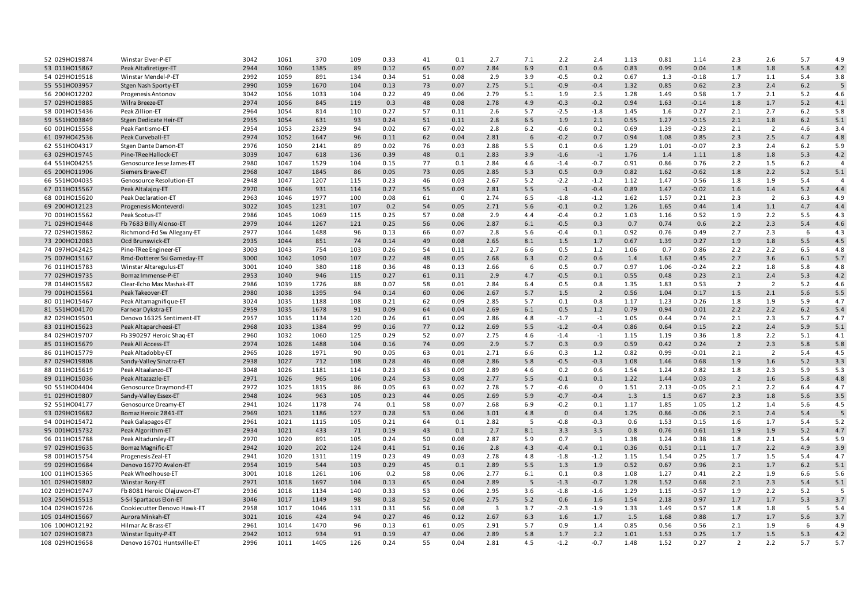| 52 029HO19874                  | Winstar Elver-P-ET                             | 3042         | 1061         | 370         | 109       | 0.33         | 41       | 0.1          | 2.7                     | 7.1        | 2.2              | 2.4            | 1.13         | 0.81         | 1.14            | 2.3            | 2.6                   | 5.7        | 4.9            |
|--------------------------------|------------------------------------------------|--------------|--------------|-------------|-----------|--------------|----------|--------------|-------------------------|------------|------------------|----------------|--------------|--------------|-----------------|----------------|-----------------------|------------|----------------|
| 53 011H015867                  | Peak Altafiretiger-ET                          | 2944         | 1060         | 1385        | 89        | 0.12         | 65       | 0.07         | 2.84                    | 6.9        | 0.1              | 0.6            | 0.83         | 0.99         | 0.04            | 1.8            | 1.8                   | 5.8        | 4.2            |
| 54 029HO19518                  | Winstar Mendel-P-ET                            | 2992         | 1059         | 891         | 134       | 0.34         | 51       | 0.08         | 2.9                     | 3.9        | $-0.5$           | 0.2            | 0.67         | 1.3          | $-0.18$         | 1.7            | 1.1                   | 5.4        | 3.8            |
| 55 551H003957                  | Stgen Nash Sporty-ET                           | 2990         | 1059         | 1670        | 104       | 0.13         | 73       | 0.07         | 2.75                    | 5.1        | $-0.9$           | $-0.4$         | 1.32         | 0.85         | 0.62            | 2.3            | 2.4                   | 6.2        | 5              |
| 56 200HO12202                  | Progenesis Antonov                             | 3042         | 1056         | 1033        | 104       | 0.22         | 49       | 0.06         | 2.79                    | 5.1        | 1.9              | 2.5            | 1.28         | 1.49         | 0.58            | 1.7            | 2.1                   | 5.2        | 4.6            |
| 57 029HO19885                  | Wilra Breeze-ET                                | 2974         | 1056         | 845         | 119       | 0.3          | 48       | 0.08         | 2.78                    | 4.9        | $-0.3$           | $-0.2$         | 0.94         | 1.63         | $-0.14$         | 1.8            | 1.7                   | 5.2        | 4.1            |
| 58 001H015436                  | Peak Zillion-ET                                | 2964         | 1054         | 814         | 110       | 0.27         | 57       | 0.11         | 2.6                     | 5.7        | $-2.5$           | $-1.8$         | 1.45         | 1.6          | 0.27            | 2.1            | 2.7                   | $6.2$      | 5.8            |
| 59 551H003849                  | Stgen Dedicate Heir-ET                         | 2955         | 1054         | 631         | 93        | 0.24         | 51       | 0.11         | 2.8                     | 6.5        | 1.9              | 2.1            | 0.55         | 1.27         | $-0.15$         | 2.1            | 1.8                   | 6.2        | 5.1            |
| 60 001H015558                  | Peak Fantismo-ET                               | 2954         | 1053         | 2329        | 94        | 0.02         | 67       | $-0.02$      | 2.8                     | $6.2$      | $-0.6$           | 0.2            | 0.69         | 1.39         | $-0.23$         | 2.1            | $\overline{2}$        | 4.6        | 3.4            |
| 61 097H042536                  | Peak Curveball-ET                              | 2974         | 1052         | 1647        | 96        | 0.11         | 62       | 0.04         | 2.81                    | 6          | $-0.2$           | 0.7            | 0.94         | 1.08         | 0.85            | 2.3            | 2.5                   | 4.7        | 4.8            |
| 62 551H004317                  | Stgen Dante Damon-ET                           | 2976         | 1050         | 2141        | 89        | 0.02         | 76       | 0.03         | 2.88                    | 5.5        | 0.1              | 0.6            | 1.29         | 1.01         | $-0.07$         | 2.3            | 2.4                   | $6.2$      | 5.9            |
| 63 029HO19745                  | Pine-TRee Hallock-ET                           | 3039         | 1047         | 618         | 136       | 0.39         | 48       | 0.1          | 2.83                    | 3.9        | $-1.6$           | $-1$           | 1.76         | 1.4          | 1.11            | 1.8            | 1.8                   | 5.3        | 4.2            |
| 64 551H004255                  | Genosource Jesse James-ET                      | 2980         | 1047         | 1529        | 104       | 0.15         | 77       | 0.1          | 2.84                    | 4.6        | $-1.4$           | $-0.7$         | 0.91         | 0.86         | 0.76            | 2.2            | 1.5                   | 6.2        | $\overline{4}$ |
| 65 200HO11906                  | Siemers Brave-ET                               | 2968         | 1047         | 1845        | 86        | 0.05         | 73       | 0.05         | 2.85                    | 5.3        | 0.5              | 0.9            | 0.82         | 1.62         | $-0.62$         | 1.8            | 2.2                   | 5.2        | 5.1            |
| 66 551H004035                  | Genosource Resolution-ET                       | 2948         | 1047         | 1207        | 115       | 0.23         | 46       | 0.03         | 2.67                    | 5.2        | $-2.2$           | $-1.2$         | 1.12         | 1.47         | 0.56            | 1.8            | 1.9                   | 5.4        | $\overline{4}$ |
| 67 011H015567                  | Peak Altalajoy-ET                              | 2970         | 1046         | 931         | 114       | 0.27         | 55       | 0.09         | 2.81                    | 5.5        | $-1$             | $-0.4$         | 0.89         | 1.47         | $-0.02$         | 1.6            | 1.4                   | 5.2        | 4.4            |
| 68 001H015620                  | Peak Declaration-ET                            | 2963         | 1046         | 1977        | 100       | 0.08         | 61       | $\Omega$     | 2.74                    | 6.5        | $-1.8$           | $-1.2$         | 1.62         | 1.57         | 0.21            | 2.3            | $\overline{2}$        | 6.3        | 4.9            |
| 69 200HO12123                  | Progenesis Monteverdi                          | 3022         | 1045         | 1231        | 107       | 0.2          | 54       | 0.05         | 2.71                    | 5.6        | $-0.1$           | 0.2            | 1.26         | 1.65         | 0.44            | 1.4            | 1.1                   | 4.7        | 4.4            |
| 70 001H015562                  | Peak Scotus-ET                                 | 2986         | 1045         | 1069        | 115       | 0.25         | 57       | 0.08         | 2.9                     | 4.4        | $-0.4$           | 0.2            | 1.03         | 1.16         | 0.52            | 1.9            | 2.2                   | 5.5        | 4.3            |
| 71 029H019448                  | Fb 7683 Billy Alonso-ET                        | 2979         | 1044         | 1267        | 121       | 0.25         | 56       | 0.06         | 2.87                    | 6.1        | $-0.5$           | 0.3            | 0.7          | 0.74         | 0.6             | 2.2            | 2.3                   | 5.4        | 4.6            |
| 72 029HO19862                  | Richmond-Fd Sw Allegany-ET                     | 2977         | 1044         | 1488        | 96        | 0.13         | 66       | 0.07         | 2.8                     | 5.6        | $-0.4$           | 0.1            | 0.92         | 0.76         | 0.49            | 2.7            | 2.3                   | 6          | 4.3            |
| 73 200HO12083                  | Ocd Brunswick-ET                               | 2935         | 1044         | 851         | 74        | 0.14         | 49       | 0.08         | 2.65                    | 8.1        | 1.5              | 1.7            | 0.67         | 1.39         | 0.27            | 1.9            | 1.8                   | 5.5        | 4.5            |
| 74 097H042425                  | Pine-TRee Engineer-ET                          | 3003         | 1043         | 754         | 103       | 0.26         | 54       | 0.11         | 2.7                     | 6.6        | 0.5              | 1.2            | 1.06         | 0.7          | 0.86            | 2.2            | 2.2                   | 6.5        | 4.8            |
| 75 007H015167                  | Rmd-Dotterer Ssi Gameday-ET                    | 3000         | 1042         | 1090        | 107       | 0.22         | 48       | 0.05         | 2.68                    | 6.3        | 0.2              | 0.6            | 1.4          | 1.63         | 0.45            | 2.7            | 3.6                   | 6.1        | 5.7            |
| 76 011H015783                  | Winstar Altaregulus-ET                         | 3001         | 1040         | 380         | 118       | 0.36         | 48       | 0.13         | 2.66                    | 6          | 0.5              | 0.7            | 0.97         | 1.06         | $-0.24$         | 2.2            | 1.8                   | 5.8        | 4.8            |
| 77 029HO19735                  | Bomaz Immense-P-ET                             | 2953         | 1040         | 946         | 115       | 0.27         | 61       | 0.11         | 2.9                     | 4.7        | $-0.5$           | 0.1            | 0.55         | 0.48         | 0.23            | 2.1            | 2.4                   | 5.3        | 4.2            |
| 78 014H015582                  | Clear-Echo Max Mashak-ET                       | 2986         | 1039         | 1726        | 88        | 0.07         | 58       | 0.01         | 2.84                    | 6.4        | 0.5              | 0.8            | 1.35         | 1.83         | 0.53            | $\overline{2}$ | $\overline{2}$        | 5.2        | 4.6            |
| 79 001HO15561                  | Peak Takeover-ET                               | 2980         | 1038         | 1395        | 94        | 0.14         | 60       | 0.06         | 2.67                    | 5.7        | 1.5              | $\overline{2}$ | 0.56         | 1.04         | 0.17            | 1.5            | 2.1                   | 5.6        | 5.5            |
| 80 011HO15467                  | Peak Altamagnifique-ET                         | 3024         | 1035         | 1188        | 108       | 0.21         | 62       | 0.09         | 2.85                    | 5.7        | 0.1              | 0.8            | 1.17         | 1.23         | 0.26            | 1.8            | 1.9                   | 5.9        | 4.7            |
| 81 551H004170                  | Farnear Dykstra-ET                             | 2959         | 1035         | 1678        | 91        | 0.09         | 64       | 0.04         | 2.69                    | 6.1        | 0.5              | 1.2            | 0.79         | 0.94         | 0.01            | 2.2            | 2.2                   | 6.2        | 5.4            |
| 82 029H019501                  | Denovo 16325 Sentiment-ET                      | 2957         | 1035         | 1134        | 120       | 0.26         | 61       | 0.09         | 2.86                    | 4.8        | $-1.7$           | $-1$           | 1.05         | 0.44         | 0.74            | 2.1            | 2.3                   | 5.7        | 4.7            |
| 83 011H015623                  | Peak Altaparcheesi-ET                          | 2968         | 1033         | 1384        | 99        | 0.16         | 77       | 0.12         | 2.69                    | 5.5        | $-1.2$           | $-0.4$         | 0.86         | 0.64         | 0.15            | 2.2            | 2.4                   | 5.9        | 5.1            |
|                                |                                                | 2960         | 1032         | 1060        | 125       |              | 52       | 0.07         | 2.75                    | 4.6        | $-1.4$           | $-1$           |              |              | 0.36            | 1.8            | 2.2                   | 5.1        | 4.1            |
| 84 029HO19707<br>85 011H015679 | Fb 390297 Heroic Shaq-ET<br>Peak All Access-ET | 2974         | 1028         | 1488        | 104       | 0.29<br>0.16 | 74       | 0.09         | 2.9                     |            | 0.3              | 0.9            | 1.15<br>0.59 | 1.19<br>0.42 | 0.24            | $\overline{2}$ | 2.3                   | 5.8        | 5.8            |
|                                |                                                |              |              |             |           |              |          |              |                         | 5.7        |                  |                |              |              |                 |                |                       |            |                |
| 86 011H015779<br>87 029HO19808 | Peak Altadobby-ET<br>Sandy-Valley Sinatra-ET   | 2965<br>2938 | 1028<br>1027 | 1971<br>712 | 90<br>108 | 0.05<br>0.28 | 63<br>46 | 0.01<br>0.08 | 2.71<br>2.86            | 6.6<br>5.8 | 0.3<br>$-0.5$    | 1.2<br>$-0.3$  | 0.82<br>1.08 | 0.99<br>1.46 | $-0.01$<br>0.68 | 2.1<br>1.9     | $\overline{2}$<br>1.6 | 5.4<br>5.2 | 4.5<br>3.3     |
|                                |                                                | 3048         | 1026         | 1181        | 114       | 0.23         | 63       | 0.09         | 2.89                    | 4.6        | 0.2              | 0.6            | 1.54         | 1.24         | 0.82            | 1.8            | 2.3                   | 5.9        | 5.3            |
| 88 011H015619                  | Peak Altaalanzo-ET<br>Peak Altazazzle-ET       | 2971         | 1026         | 965         |           |              |          | 0.08         |                         |            |                  |                |              |              | 0.03            | $\overline{2}$ | 1.6                   | 5.8        |                |
| 89 011HO15036                  |                                                | 2972         |              | 1815        | 106       | 0.24<br>0.05 | 53       | 0.02         | 2.77                    | 5.5        | $-0.1$<br>$-0.6$ | 0.1            | 1.22<br>1.51 | 1.44<br>2.13 | $-0.05$         | 2.1            |                       | 6.4        | 4.8            |
| 90 551HO04404                  | Genosource Draymond-ET                         |              | 1025         |             | 86        |              | 63       |              | 2.78                    | 5.7        |                  | 0              |              |              |                 |                | 2.2                   |            | 4.7            |
| 91 029H019807                  | Sandy-Valley Essex-ET                          | 2948         | 1024<br>1024 | 963<br>1178 | 105<br>74 | 0.23<br>0.1  | 44<br>58 | 0.05<br>0.07 | 2.69                    | 5.9<br>6.9 | $-0.7$<br>$-0.2$ | $-0.4$         | 1.3          | 1.5<br>1.85  | 0.67<br>1.05    | 2.3<br>1.2     | 1.8                   | 5.6        | 3.5            |
| 92 551H004177                  | Genosource Dreamy-ET                           | 2941<br>2969 |              |             |           |              |          |              | 2.68                    |            |                  | 0.1            | 1.17         |              |                 |                | 1.4                   | 5.6        | 4.5            |
| 93 029HO19682                  | Bomaz Heroic 2841-ET                           |              | 1023         | 1186        | 127       | 0.28         | 53       | 0.06         | 3.01                    | 4.8        | $\overline{0}$   | 0.4            | 1.25         | 0.86         | $-0.06$         | 2.1            | 2.4                   | 5.4        | 5              |
| 94 001HO15472                  | Peak Galapagos-ET                              | 2961         | 1021         | 1115        | 105       | 0.21         | 64       | 0.1          | 2.82                    | .5         | $-0.8$           | $-0.3$         | 0.6          | 1.53         | 0.15            | 1.6            | 1.7                   | 5.4        | 5.2            |
| 95 001H015732                  | Peak Algorithm-ET                              | 2934         | 1021         | 433         | 71        | 0.19         | 43       | 0.1          | 2.7                     | 8.1        | 3.3              | 3.5            | 0.8          | 0.76         | 0.61            | 1.9            | 1.9                   | 5.2        | 4.7            |
| 96 011HO15788                  | Peak Altadursley-ET                            | 2970         | 1020         | 891         | 105       | 0.24         | 50       | 0.08         | 2.87                    | 5.9        | 0.7              | 1              | 1.38         | 1.24         | 0.38            | 1.8            | 2.1                   | 5.4        | 5.9            |
| 97 029HO19635                  | Bomaz Magnific-ET                              | 2942         | 1020         | 202         | 124       | 0.41         | 51       | 0.16         | 2.8                     | 4.3        | $-0.4$           | 0.1            | 0.36         | 0.51         | 0.11            | 1.7            | 2.2                   | 4.9        | 3.9            |
| 98 001H015754                  | Progenesis Zeal-ET                             | 2941         | 1020         | 1311        | 119       | 0.23         | 49       | 0.03         | 2.78                    | 4.8        | $-1.8$           | $-1.2$         | 1.15         | 1.54         | 0.25            | 1.7            | 1.5                   | 5.4        | 4.7            |
| 99 029HO19684                  | Denovo 16770 Avalon-ET                         | 2954         | 1019         | 544         | 103       | 0.29         | 45       | 0.1          | 2.89                    | 5.5        | 1.3              | 1.9            | 0.52         | 0.67         | 0.96            | 2.1            | 1.7                   | 6.2        | 5.1            |
| 100 011H015365                 | Peak Wheelhouse-ET                             | 3001         | 1018         | 1261        | 106       | 0.2          | 58       | 0.06         | 2.77                    | 6.1        | 0.1              | 0.8            | 1.08         | 1.27         | 0.41            | 2.2            | 1.9                   | 6.6        | 5.6            |
| 101 029HO19802                 | <b>Winstar Rory-ET</b>                         | 2971         | 1018         | 1697        | 104       | 0.13         | 65       | 0.04         | 2.89                    | 5          | $-1.3$           | $-0.7$         | 1.28         | 1.52         | 0.68            | 2.1            | 2.3                   | 5.4        | 5.1            |
| 102 029HO19747                 | Fb 8081 Heroic Olajuwon-ET                     | 2936         | 1018         | 1134        | 140       | 0.33         | 53       | 0.06         | 2.95                    | 3.6        | $-1.8$           | $-1.6$         | 1.29         | 1.15         | $-0.57$         | 1.9            | 2.2                   | 5.2        | -5             |
| 103 250HO15513                 | S-S-I Spartacus Elon-ET                        | 3046         | 1017         | 1149        | 98        | 0.18         | 52       | 0.06         | 2.75                    | 5.2        | 0.6              | 1.6            | 1.54         | 2.18         | 0.97            | 1.7            | 1.7                   | 5.3        | 3.7            |
| 104 029HO19726                 | Cookiecutter Denovo Hawk-ET                    | 2958         | 1017         | 1046        | 131       | 0.31         | 56       | 0.08         | $\overline{\mathbf{3}}$ | 3.7        | $-2.3$           | $-1.9$         | 1.33         | 1.49         | 0.57            | 1.8            | 1.8                   | 5          | 5.4            |
| 105 014HO15667                 | Aurora Minkah-ET                               | 3021         | 1016         | 424         | 94        | 0.27         | 46       | 0.12         | 2.67                    | 6.3        | 1.6              | 1.7            | 1.5          | 1.68         | 0.88            | 1.7            | 1.7                   | 5.6        | 3.7            |
| 106 100HO12192                 | Hilmar Ac Brass-ET                             | 2961         | 1014         | 1470        | 96        | 0.13         | 61       | 0.05         | 2.91                    | 5.7        | 0.9              | 1.4            | 0.85         | 0.56         | 0.56            | 2.1            | 1.9                   | 6          | 4.9            |
| 107 029HO19873                 | Winstar Equity-P-ET                            | 2942         | 1012         | 934         | 91        | 0.19         | 47       | 0.06         | 2.89                    | 5.8        | 1.7              | 2.2            | 1.01         | 1.53         | 0.25            | 1.7            | 1.5                   | 5.3        | 4.2            |
| 108 029HO19658                 | Denovo 16701 Huntsville-ET                     | 2996         | 1011         | 1405        | 126       | 0.24         | 55       | 0.04         | 2.81                    | 4.5        | $-1.2$           | $-0.7$         | 1.48         | 1.52         | 0.27            | $\overline{2}$ | 2.2                   | 5.7        | 5.7            |

ı T ľ ľ

> ı ı

л ı

ı I ı I I I

I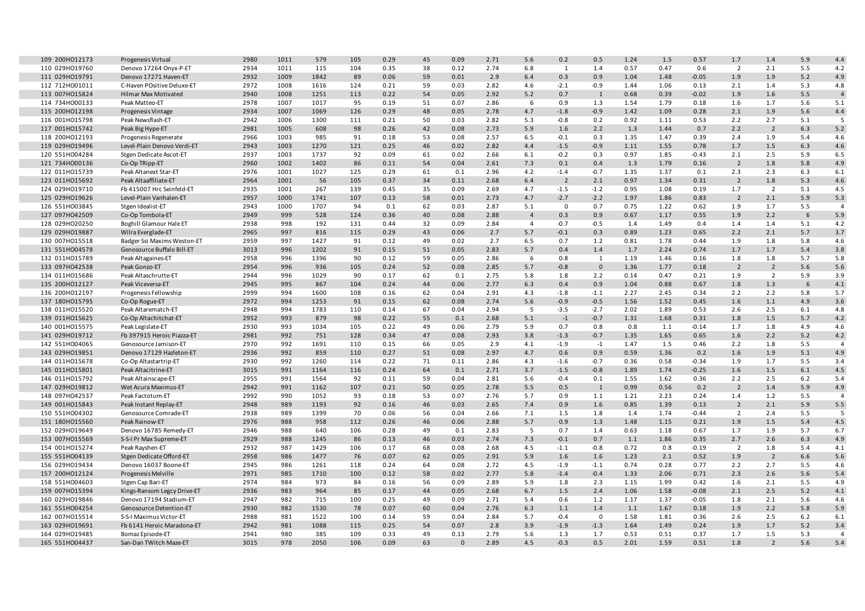| 109 200HO12173 | Progenesis Virtual             | 2980 | 1011 | 579  | 105 | 0.29 | 45 | 0.09     | 2.71 | 5.6            | 0.2            | 0.5          | 1.24 | 1.5  | 0.57    | 1.7            | 1.4            | 5.9   | 4.4            |
|----------------|--------------------------------|------|------|------|-----|------|----|----------|------|----------------|----------------|--------------|------|------|---------|----------------|----------------|-------|----------------|
| 110 029HO19760 | Denovo 17264 Onyx-P-ET         | 2934 | 1011 | 115  | 104 | 0.35 | 38 | 0.12     | 2.74 | 6.8            | 1              | 1.4          | 0.57 | 0.47 | 0.6     | $\overline{2}$ | 2.1            | 5.5   | 4.2            |
| 111 029HO19791 | Denovo 17271 Haven-ET          | 2932 | 1009 | 1842 | 89  | 0.06 | 59 | 0.01     | 2.9  | 6.4            | 0.3            | 0.9          | 1.04 | 1.48 | $-0.05$ | 1.9            | 1.9            | 5.2   | 4.9            |
| 112 712H001011 | C-Haven POsitive Deluxe-ET     | 2972 | 1008 | 1616 | 124 | 0.21 | 59 | 0.03     | 2.82 | 4.6            | $-2.1$         | $-0.9$       | 1.44 | 1.06 | 0.13    | 2.1            | 1.4            | 5.3   | 4.8            |
| 113 007HO15824 | Hilmar Max Motivated           | 2940 | 1008 | 1251 | 113 | 0.22 | 54 | 0.05     | 2.92 | 5.2            | 0.7            | $\mathbf{1}$ | 0.68 | 0.39 | $-0.02$ | 1.9            | 1.6            | 5.5   | $\overline{4}$ |
| 114 734H000133 | Peak Matteo-ET                 | 2978 | 1007 | 1017 | 95  | 0.19 | 51 | 0.07     | 2.86 | 6              | 0.9            | 1.3          | 1.54 | 1.79 | 0.18    | 1.6            | 1.7            | 5.6   | 5.1            |
| 115 200HO12198 | Progenesis Vintage             | 2934 | 1007 | 1069 | 126 | 0.29 | 48 | 0.05     | 2.78 | 4.7            | $-1.8$         | $-0.9$       | 1.42 | 1.09 | 0.28    | 2.1            | 1.9            | 5.6   | 4.4            |
| 116 001H015798 | Peak Newsflash-ET              | 2942 | 1006 | 1300 | 111 | 0.21 | 50 | 0.03     | 2.82 | 5.3            | $-0.8$         | 0.2          | 0.92 | 1.11 | 0.53    | 2.2            | 2.7            | 5.1   | -5             |
| 117 001HO15742 | Peak Big Hype-ET               | 2981 | 1005 | 608  | 98  | 0.26 | 42 | 0.08     | 2.73 | 5.9            | 1.6            | 2.2          | 1.3  | 1.44 | 0.7     | 2.2            | $\overline{2}$ | 6.3   | $5.2\,$        |
| 118 200HO12193 | Progenesis Regenerate          | 2966 | 1003 | 985  | 91  | 0.18 | 53 | 0.08     | 2.57 | 6.5            | $-0.1$         | 0.3          | 1.35 | 1.47 | 0.39    | 2.4            | 1.9            | 5.4   | 4.6            |
| 119 029HO19496 | Level-Plain Denovo Verdi-ET    | 2943 | 1003 | 1270 | 121 | 0.25 | 46 | 0.02     | 2.82 | 4.4            | $-1.5$         | $-0.9$       | 1.11 | 1.55 | 0.78    | 1.7            | 1.5            | 6.3   | 4.6            |
| 120 551H004284 | Stgen Dedicate Ascot-ET        | 2937 | 1003 | 1737 | 92  | 0.09 | 61 | 0.02     | 2.66 | 6.1            | $-0.2$         | 0.3          | 0.97 | 1.85 | $-0.43$ | 2.1            | 2.5            | 5.9   | 6.5            |
| 121 734H000136 | Co-Op TRipp-ET                 | 2960 | 1002 | 1402 | 86  | 0.11 | 54 | 0.04     | 2.61 | 7.3            | 0.1            | 0.4          | 1.3  | 1.79 | 0.16    | $\overline{2}$ | 1.8            | 5.8   | 4.9            |
| 122 011H015739 | Peak Altanext Star-ET          | 2976 | 1001 | 1027 | 125 | 0.29 | 61 | 0.1      | 2.96 | 4.2            | $-1.4$         | $-0.7$       | 1.35 | 1.37 | 0.1     | 2.3            | 2.3            | 6.3   | 6.1            |
| 123 011H015692 | Peak Altaaffiliate-ET          | 2964 | 1001 | 56   | 105 | 0.37 | 34 | 0.11     | 2.68 | 6.4            | $\overline{2}$ | 2.1          | 0.97 | 1.34 | 0.31    | $\overline{2}$ | 1.8            | 5.3   | 4.6            |
| 124 029HO19710 | Fb 415007 Hrc Seinfeld-ET      | 2935 | 1001 | 267  | 139 | 0.45 | 35 | 0.09     | 2.69 | 4.7            | $-1.5$         | $-1.2$       | 0.95 | 1.08 | 0.19    | 1.7            | $\overline{2}$ | 5.1   | 4.5            |
| 125 029HO19626 | Level-Plain Vanhalen-ET        | 2957 | 1000 | 1741 | 107 | 0.13 | 58 | 0.01     | 2.73 | 4.7            | $-2.7$         | $-2.2$       | 1.97 | 1.86 | 0.83    | $\overline{2}$ | 2.1            | 5.9   | 5.3            |
| 126 551H003845 | Stgen Idealist-ET              | 2943 | 1000 | 1707 | 94  | 0.1  | 62 | 0.03     | 2.87 | 5.1            | $\mathbf 0$    | 0.7          | 0.75 | 1.22 | 0.62    | 1.9            | 1.7            | 5.5   | $\overline{4}$ |
| 127 097HO42509 | Co-Op Tombola-ET               | 2949 | 999  | 528  | 124 | 0.36 | 40 | 0.08     | 2.88 | $\overline{4}$ | 0.3            | 0.9          | 0.67 | 1.17 | 0.55    | 1.9            | 2.2            | 6     | 5.9            |
| 128 029HO20250 | <b>Boghill Glamour Hale ET</b> | 2938 | 998  | 192  | 131 | 0.44 | 32 | 0.09     | 2.84 | $\overline{4}$ | $-0.7$         | $-0.5$       | 1.4  | 1.49 | 0.4     | 1.4            | 1.4            | 5.1   | 4.2            |
| 129 029HO19887 | Wilra Everglade-ET             | 2965 | 997  | 816  | 115 | 0.29 | 43 | 0.06     | 2.7  | 5.7            | $-0.1$         | 0.3          | 0.89 | 1.23 | 0.65    | 2.2            | 2.1            | 5.7   | 3.7            |
| 130 007H015518 | Badger Ssi Maxims Weston-ET    | 2959 | 997  | 1427 | 91  | 0.12 | 49 | 0.02     | 2.7  | 6.5            | 0.7            | 1.2          | 0.81 | 1.78 | 0.44    | 1.9            | 1.8            | 5.8   | 4.6            |
| 131 551H004578 | Genosource Buffalo Bill-ET     | 3013 | 996  | 1202 | 91  | 0.15 | 51 | 0.05     | 2.83 | 5.7            | 0.4            | 1.4          | 1.7  | 2.24 | 0.74    | 1.7            | 1.7            | 5.4   | 3.8            |
| 132 011H015789 | Peak Altagaines-ET             | 2958 | 996  | 1396 | 90  | 0.12 | 59 | 0.05     | 2.86 | 6              | 0.8            | 1            | 1.19 | 1.46 | 0.16    | 1.8            | 1.8            | 5.7   | 5.8            |
| 133 097HO42538 | Peak Gonzo-ET                  | 2954 | 996  | 936  | 105 | 0.24 | 52 | 0.08     | 2.85 | 5.7            | $-0.8$         | $\mathbf 0$  | 1.36 | 1.77 | 0.18    | $\overline{2}$ | $\overline{2}$ | 5.6   | 5.6            |
| 134 011HO15686 | Peak Altaschrutte-ET           | 2944 | 996  | 1029 | 90  | 0.17 | 62 | 0.1      |      | 5.8            | 1.8            | 2.2          | 0.14 | 0.47 | 0.21    | 1.9            | $\overline{2}$ | 5.9   | 3.9            |
| 135 200HO12127 | Peak Viceversa-ET              | 2945 |      |      | 104 | 0.24 | 44 | 0.06     | 2.75 |                | 0.4            |              | 1.04 |      | 0.67    | 1.8            | 1.3            | 6     |                |
|                |                                |      | 995  | 867  |     |      |    |          | 2.77 | 6.3            |                | 0.9          |      | 0.88 |         |                |                |       | 4.1            |
| 136 200HO12197 | Progenesis Fellowship          | 2999 | 994  | 1600 | 108 | 0.16 | 62 | 0.04     | 2.91 | 4.3            | $-1.8$         | $-1.1$       | 2.27 | 2.45 | 0.34    | 2.2            | 2.2            | 5.8   | 5.7            |
| 137 180HO15795 | Co-Op Rogue-ET                 | 2972 | 994  | 1253 | 91  | 0.15 | 62 | 0.08     | 2.74 | 5.6            | $-0.9$         | $-0.5$       | 1.56 | 1.52 | 0.45    | 1.6            | $1.1$          | 4.9   | 3.6            |
| 138 011H015520 | Peak Altarematch-ET            | 2948 | 994  | 1783 | 110 | 0.14 | 67 | 0.04     | 2.94 | 5              | $-3.5$         | $-2.7$       | 2.02 | 1.89 | 0.53    | 2.6            | 2.5            | 6.1   | 4.8            |
| 139 011HO15625 | Co-Op Altachitchat-ET          | 2952 | 993  | 879  | 98  | 0.22 | 55 | 0.1      | 2.68 | 5.1            | $-1$           | $-0.7$       | 1.31 | 1.68 | 0.31    | 1.8            | 1.5            | 5.7   | 4.2            |
| 140 001H015575 | Peak Legislate-ET              | 2930 | 993  | 1034 | 105 | 0.22 | 49 | 0.06     | 2.79 | 5.9            | 0.7            | 0.8          | 0.8  | 1.1  | $-0.14$ | 1.7            | 1.8            | 4.9   | 4.6            |
| 141 029HO19712 | Fb 397915 Heroic Piazza-ET     | 2981 | 992  | 751  | 128 | 0.34 | 47 | 0.08     | 2.93 | 3.8            | $-1.3$         | $-0.7$       | 1.35 | 1.65 | 0.65    | 1.6            | 2.2            | 5.2   | 4.2            |
| 142 551H004065 | Genosource Jamison-ET          | 2970 | 992  | 1691 | 110 | 0.15 | 66 | 0.05     | 2.9  | 4.1            | $-1.9$         | $-1$         | 1.47 | 1.5  | 0.46    | 2.2            | 1.8            | 5.5   | $\overline{4}$ |
| 143 029HO19851 | Denovo 17129 Hazleton-ET       | 2936 | 992  | 859  | 110 | 0.27 | 51 | 0.08     | 2.97 | 4.7            | 0.6            | 0.9          | 0.59 | 1.36 | 0.2     | 1.6            | 1.9            | 5.1   | 4.9            |
| 144 011H015678 | Co-Op Altastartrip-ET          | 2930 | 992  | 1260 | 114 | 0.22 | 71 | 0.11     | 2.86 | 4.3            | $-1.6$         | $-0.7$       | 0.36 | 0.58 | $-0.34$ | 1.9            | 1.7            | 5.5   | 3.4            |
| 145 011H015801 | Peak Altacitrine-ET            | 3015 | 991  | 1164 | 116 | 0.24 | 64 | 0.1      | 2.71 | 3.7            | $-1.5$         | $-0.8$       | 1.89 | 1.74 | $-0.25$ | 1.6            | 1.5            | 6.1   | 4.5            |
| 146 011H015792 | Peak Altainscape-ET            | 2955 | 991  | 1564 | 92  | 0.11 | 59 | 0.04     | 2.81 | 5.6            | $-0.4$         | 0.1          | 1.55 | 1.62 | 0.36    | 2.2            | 2.5            | 6.2   | 5.4            |
| 147 029HO19812 | Wet Acura Maximus-ET           | 2942 | 991  | 1162 | 107 | 0.21 | 50 | 0.05     | 2.78 | $5.5$          | 0.5            | $\mathbf{1}$ | 0.99 | 0.56 | 0.2     | $\overline{2}$ | 1.4            | 5.9   | 4.9            |
| 148 097H042537 | Peak Factotum-ET               | 2992 | 990  | 1052 | 93  | 0.18 | 53 | 0.07     | 2.76 | 5.7            | 0.9            | 1.1          | 1.21 | 2.23 | 0.24    | 1.4            | 1.2            | 5.5   | $\overline{a}$ |
| 149 001HO15843 | Peak Instant Replay-ET         | 2948 | 989  | 1193 | 92  | 0.16 | 46 | 0.03     | 2.65 | 7.4            | 0.9            | 1.6          | 0.85 | 1.39 | 0.13    | $\overline{2}$ | 2.1            | 5.9   | 5.5            |
| 150 551H004302 | Genosource Comrade-ET          | 2938 | 989  | 1399 | 70  | 0.06 | 56 | 0.04     | 2.66 | 7.1            | 1.5            | 1.8          | 1.4  | 1.74 | $-0.44$ | $\overline{2}$ | 2.4            | 5.5   | 5              |
| 151 180HO15560 | Peak Rainow-ET                 | 2976 | 988  | 958  | 112 | 0.26 | 46 | 0.06     | 2.88 | 5.7            | 0.9            | 1.3          | 1.48 | 1.15 | 0.21    | 1.9            | 1.5            | 5.4   | 4.5            |
| 152 029HO19649 | Denovo 16785 Remedy-ET         | 2946 | 988  | 640  | 106 | 0.28 | 49 | 0.1      | 2.83 | 5              | 0.7            | 1.4          | 0.63 | 1.18 | 0.67    | 1.7            | 1.9            | 5.7   | 6.7            |
| 153 007HO15569 | S-S-I Pr Max Supreme-ET        | 2929 | 988  | 1245 | 86  | 0.13 | 46 | 0.03     | 2.74 | 7.3            | $-0.1$         | 0.7          | 1.1  | 1.86 | 0.35    | 2.7            | 2.6            | 6.3   | 4.9            |
| 154 001HO15274 | Peak Rayshen-ET                | 2932 | 987  | 1429 | 106 | 0.17 | 68 | 0.08     | 2.68 | 4.5            | $-1.1$         | $-0.8$       | 0.72 | 0.8  | $-0.19$ | $\overline{2}$ | 1.8            | 5.4   | 4.1            |
| 155 551HO04139 | Stgen Dedicate Offord-ET       | 2958 | 986  | 1477 | 76  | 0.07 | 62 | 0.05     | 2.91 | 5.9            | 1.6            | 1.6          | 1.23 | 2.1  | 0.52    | 1.9            | $\overline{2}$ | 6.6   | 5.6            |
| 156 029HO19434 | Denovo 16037 Boone-ET          | 2945 | 986  | 1261 | 118 | 0.24 | 64 | 0.08     | 2.72 | 4.5            | $-1.9$         | $-1.1$       | 0.74 | 0.28 | 0.77    | 2.2            | 2.7            | 5.5   | 4.6            |
| 157 200HO12124 | Progenesis Melville            | 2971 | 985  | 1710 | 100 | 0.12 | 58 | 0.02     | 2.77 | 5.8            | $-1.4$         | $-0.4$       | 1.33 | 2.06 | 0.71    | 2.3            | 2.6            | 5.6   | 5.4            |
| 158 551H004603 | Stgen Cap Bari-ET              | 2974 | 984  | 973  | 84  | 0.16 | 56 | 0.09     | 2.89 | 5.9            | 1.8            | 2.3          | 1.15 | 1.99 | 0.42    | 1.6            | 2.1            | 5.5   | 4.9            |
| 159 007HO15394 | Kings-Ransom Legcy Drive-ET    | 2936 | 983  | 964  | 85  | 0.17 | 44 | 0.05     | 2.68 | 6.7            | 1.5            | 2.4          | 1.06 | 1.58 | $-0.08$ | 2.1            | 2.5            | 5.2   | 4.1            |
| 160 029HO19846 | Denovo 17194 Stadium-ET        | 2947 | 982  | 715  | 100 | 0.25 | 49 | 0.09     | 2.71 | 5.4            | 0.6            | 1.2          | 1.17 | 1.37 | $-0.05$ | 1.8            | 2.1            | 5.6   | 4.6            |
| 161 551H004254 | Genosource Detention-ET        | 2930 | 982  | 1530 | 78  | 0.07 | 60 | 0.04     | 2.76 | 6.3            | 1.1            | 1.4          | 1.1  | 1.67 | 0.18    | 1.9            | 2.2            | 5.8   | 5.9            |
| 162 007HO15514 | S-S-I Maximus Victor-ET        | 2988 | 981  | 1522 | 100 | 0.14 | 59 | 0.04     | 2.84 | 5.7            | $-0.4$         | $\mathbf 0$  | 1.58 | 1.81 | 0.36    | 2.6            | 2.5            | $6.2$ | 6.1            |
| 163 029HO19691 | Fb 6141 Heroic Maradona-ET     | 2942 | 981  | 1088 | 115 | 0.25 | 54 | 0.07     | 2.8  | 3.9            | $-1.9$         | $-1.3$       | 1.64 | 1.49 | 0.24    | 1.9            | 1.7            | 5.2   | 3.4            |
| 164 029HO19485 | Bomaz Episode-ET               | 2941 | 980  | 385  | 109 | 0.33 | 49 | 0.13     | 2.79 | 5.6            | 1.3            | 1.7          | 0.53 | 0.51 | 0.37    | 1.7            | 1.5            | 5.3   | $\overline{4}$ |
| 165 551HO04437 | San-Dan TWitch Maze-ET         | 3015 | 978  | 2050 | 106 | 0.09 | 63 | $\Omega$ | 2.89 | 4.5            | $-0.3$         | 0.5          | 2.01 | 1.59 | 0.51    | 1.8            | $\overline{2}$ | 5.6   | 5.4            |
|                |                                |      |      |      |     |      |    |          |      |                |                |              |      |      |         |                |                |       |                |

т I I г I

> I ı л ı

> T ı л ľ г

> > ı ı

г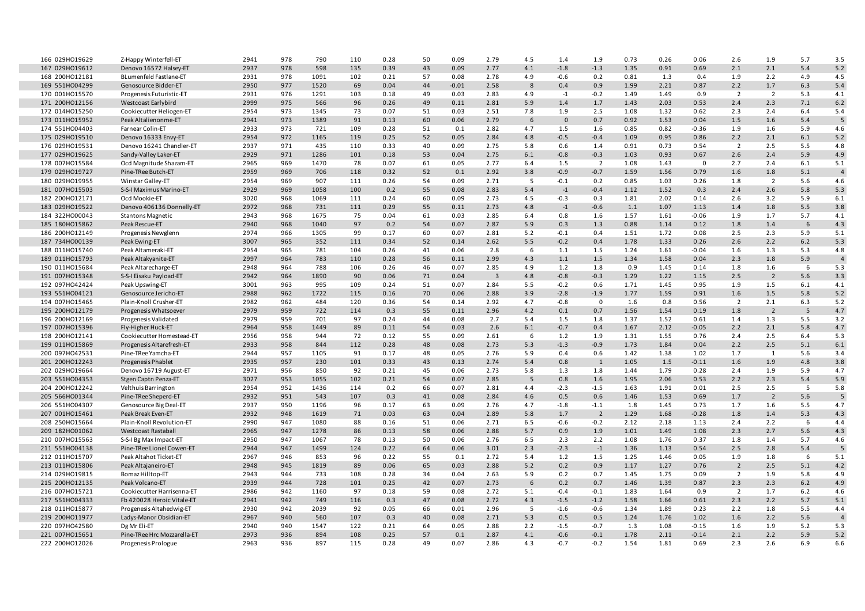| 166 029HO19629 | Z-Happy Winterfell-ET                   | 2941 | 978 | 790  | 110 | 0.28 | 50 | 0.09    | 2.79                    | 4.5        | 1.4              | 1.9            | 0.73 | 0.26 | 0.06        | 2.6            | 1.9            | 5.7        | 3.5            |
|----------------|-----------------------------------------|------|-----|------|-----|------|----|---------|-------------------------|------------|------------------|----------------|------|------|-------------|----------------|----------------|------------|----------------|
| 167 029HO19612 | Denovo 16572 Halsey-ET                  | 2937 | 978 | 598  | 135 | 0.39 | 43 | 0.09    | 2.77                    | 4.1        | $-1.8$           | $-1.3$         | 1.35 | 0.91 | 0.69        | 2.1            | 2.1            | 5.4        | 5.2            |
| 168 200HO12181 | BLumenfeld Fastlane-ET                  | 2931 | 978 | 1091 | 102 | 0.21 | 57 | 0.08    | 2.78                    | 4.9        | $-0.6$           | 0.2            | 0.81 | 1.3  | 0.4         | 1.9            | 2.2            | 4.9        | 4.5            |
| 169 551H004299 | Genosource Bidder-ET                    | 2950 | 977 | 1520 | 69  | 0.04 | 44 | $-0.01$ | 2.58                    | 8          | 0.4              | 0.9            | 1.99 | 2.21 | 0.87        | 2.2            | 1.7            | 6.3        | 5.4            |
| 170 001H015570 | Progenesis Futuristic-ET                | 2931 | 976 | 1291 | 103 | 0.18 | 49 | 0.03    | 2.83                    | 4.9        | $-1$             | $-0.2$         | 1.49 | 1.49 | 0.9         | $\overline{2}$ | $\overline{2}$ | 5.3        | 4.1            |
| 171 200HO12156 |                                         | 2999 | 975 | 566  | 96  | 0.26 | 49 | 0.11    | 2.81                    | 5.9        | 1.4              | 1.7            | 1.43 | 2.03 | 0.53        | 2.4            | 2.3            | 7.1        | 6.2            |
|                | Westcoast Earlybird                     |      |     |      |     |      |    |         |                         |            |                  |                |      |      |             |                |                |            |                |
| 172 014H015250 | Cookiecutter Heliogen-ET                | 2954 | 973 | 1345 | 73  | 0.07 | 51 | 0.03    | 2.51                    | 7.8        | 1.9              | 2.5            | 1.08 | 1.32 | 0.62        | 2.3            | 2.4            | 6.4        | 5.4<br>5       |
| 173 011H015952 | Peak Altalienonme-ET                    | 2941 | 973 | 1389 | 91  | 0.13 | 60 | 0.06    | 2.79                    | 6          | $\Omega$         | 0.7            | 0.92 | 1.53 | 0.04        | 1.5            | 1.6            | 5.4        |                |
| 174 551H004403 | Farnear Colin-ET                        | 2933 | 973 | 721  | 109 | 0.28 | 51 | 0.1     | 2.82                    | 4.7        | 1.5              | 1.6            | 0.85 | 0.82 | $-0.36$     | 1.9            | 1.6            | 5.9        | 4.6            |
| 175 029HO19510 | Denovo 16333 Envy-ET                    | 2954 | 972 | 1165 | 119 | 0.25 | 52 | 0.05    | 2.84                    | 4.8        | $-0.5$           | $-0.4$         | 1.09 | 0.95 | 0.86        | 2.2            | 2.1            | 6.1        | $5.2$          |
| 176 029HO19531 | Denovo 16241 Chandler-ET                | 2937 | 971 | 435  | 110 | 0.33 | 40 | 0.09    | 2.75                    | 5.8        | 0.6              | 1.4            | 0.91 | 0.73 | 0.54        | $\overline{2}$ | 2.5            | 5.5        | 4.8            |
| 177 029HO19625 | Sandy-Valley Laker-ET                   | 2929 | 971 | 1286 | 101 | 0.18 | 53 | 0.04    | 2.75                    | 6.1        | $-0.8$           | $-0.3$         | 1.03 | 0.93 | 0.67        | 2.6            | 2.4            | 5.9        | 4.9            |
| 178 007HO15584 | Ocd Magnitude Shazam-ET                 | 2965 | 969 | 1470 | 78  | 0.07 | 61 | 0.05    | 2.77                    | 6.4        | 1.5              | $\overline{2}$ | 1.08 | 1.43 | $\mathbf 0$ | 2.7            | 2.4            | 6.1        | 5.1            |
| 179 029HO19727 | Pine-TRee Butch-ET                      | 2959 | 969 | 706  | 118 | 0.32 | 52 | 0.1     | 2.92                    | 3.8        | $-0.9$           | $-0.7$         | 1.59 | 1.56 | 0.79        | 1.6            | 1.8            | 5.1        | $\overline{4}$ |
| 180 029HO19955 | Winstar Galley-ET                       | 2954 | 969 | 907  | 111 | 0.26 | 54 | 0.09    | 2.71                    | 5          | $-0.1$           | 0.2            | 0.85 | 1.03 | 0.26        | 1.8            | $\overline{2}$ | 5.6        | 4.6            |
| 181 007H015503 | S-S-I Maximus Marino-ET                 | 2929 | 969 | 1058 | 100 | 0.2  | 55 | 0.08    | 2.83                    | 5.4        | $-1$             | $-0.4$         | 1.12 | 1.52 | 0.3         | 2.4            | 2.6            | 5.8        | 5.3            |
| 182 200HO12171 | Ocd Mookie-ET                           | 3020 | 968 | 1069 | 111 | 0.24 | 60 | 0.09    | 2.73                    | 4.5        | $-0.3$           | 0.3            | 1.81 | 2.02 | 0.14        | 2.6            | 3.2            | 5.9        | 6.1            |
| 183 029HO19522 | Denovo 406136 Donnelly-ET               | 2972 | 968 | 731  | 111 | 0.29 | 55 | 0.11    | 2.73                    | 4.8        | $-1$             | $-0.6$         | 1.1  | 1.07 | 1.13        | 1.4            | 1.8            | 5.5        | 3.8            |
| 184 322H000043 | <b>Stantons Magnetic</b>                | 2943 | 968 | 1675 | 75  | 0.04 | 61 | 0.03    | 2.85                    | 6.4        | 0.8              | 1.6            | 1.57 | 1.61 | $-0.06$     | 1.9            | 1.7            | 5.7        | 4.1            |
| 185 180HO15862 | Peak Rescue-ET                          | 2940 | 968 | 1040 | 97  | 0.2  | 54 | 0.07    | 2.87                    | 5.9        | 0.3              | 1.3            | 0.88 | 1.14 | 0.12        | 1.8            | 1.4            | 6          | 4.3            |
| 186 200HO12149 | Progenesis Newglenn                     | 2974 | 966 | 1305 | 99  | 0.17 | 60 | 0.07    | 2.81                    | 5.2        | $-0.1$           | 0.4            | 1.51 | 1.72 | 0.08        | 2.5            | 2.3            | 5.9        | 5.1            |
| 187 734H000139 | Peak Ewing-ET                           | 3007 | 965 | 352  | 111 | 0.34 | 52 | 0.14    | 2.62                    | 5.5        | $-0.2$           | 0.4            | 1.78 | 1.33 | 0.26        | 2.6            | 2.2            | $6.2$      | 5.3            |
| 188 011H015740 | Peak Altameraki-ET                      | 2954 | 965 | 781  | 104 | 0.26 | 41 | 0.06    | 2.8                     | 6          | 1.1              | 1.5            | 1.24 | 1.61 | $-0.04$     | 1.6            | 1.3            | 5.3        | 4.8            |
| 189 011HO15793 | Peak Altakyanite-ET                     | 2997 | 964 | 783  | 110 | 0.28 | 56 | 0.11    | 2.99                    | 4.3        | 1.1              | 1.5            | 1.34 | 1.58 | 0.04        | 2.3            | 1.8            | 5.9        | $\overline{4}$ |
| 190 011HO15684 | Peak Altarecharge-ET                    | 2948 | 964 | 788  | 106 | 0.26 | 46 | 0.07    | 2.85                    | 4.9        | 1.2              | 1.8            | 0.9  | 1.45 | 0.14        | 1.8            | 1.6            | 6          | 5.3            |
| 191 007HO15348 | S-S-I Eisaku Payload-ET                 | 2942 | 964 | 1890 | 90  | 0.06 | 71 | 0.04    | $\overline{\mathbf{3}}$ | 4.8        | $-0.8$           | $-0.3$         | 1.29 | 1.22 | 1.15        | 2.5            | $\overline{2}$ | 5.6        | 3.3            |
| 192 097H042424 | Peak Upswing-ET                         | 3001 | 963 | 995  | 109 | 0.24 | 51 | 0.07    | 2.84                    | 5.5        | $-0.2$           | 0.6            | 1.71 | 1.45 | 0.95        | 1.9            | 1.5            | 6.1        | 4.1            |
| 193 551H004121 | Genosource Jericho-ET                   | 2988 | 962 | 1722 | 115 | 0.16 | 70 | 0.06    | 2.88                    | 3.9        | $-2.8$           | $-1.9$         | 1.77 | 1.59 | 0.91        | 1.6            | 1.5            | 5.8        | 5.2            |
| 194 007HO15465 | Plain-Knoll Crusher-ET                  | 2982 | 962 | 484  | 120 | 0.36 | 54 | 0.14    | 2.92                    | 4.7        | $-0.8$           | $\mathbf 0$    | 1.6  | 0.8  | 0.56        | $\overline{2}$ | 2.1            | 6.3        | 5.2            |
| 195 200HO12179 | Progenesis Whatsoever                   | 2979 | 959 | 722  | 114 | 0.3  | 55 | 0.11    | 2.96                    | 4.2        | 0.1              | 0.7            | 1.56 | 1.54 | 0.19        | 1.8            | $\overline{2}$ | 5          | 4.7            |
| 196 200HO12169 | Progenesis Validated                    | 2979 | 959 | 701  | 97  | 0.24 | 44 | 0.08    | 2.7                     | 5.4        | 1.5              | 1.8            | 1.37 | 1.52 | 0.61        | 1.4            | 1.3            | 5.5        | 3.2            |
| 197 007H015396 | Fly-Higher Huck-ET                      | 2964 | 958 | 1449 | 89  | 0.11 | 54 | 0.03    | 2.6                     | 6.1        | $-0.7$           | 0.4            | 1.67 | 2.12 | $-0.05$     | 2.2            | 2.1            | 5.8        | 4.7            |
| 198 200HO12141 | Cookiecutter Homestead-ET               | 2956 | 958 | 944  | 72  | 0.12 | 55 | 0.09    | 2.61                    | 6          | 1.2              | 1.9            | 1.31 | 1.55 | 0.76        | 2.4            | 2.5            | 6.4        | 5.3            |
| 199 011H015869 | Progenesis Altarefresh-ET               | 2933 | 958 | 844  | 112 | 0.28 | 48 | 0.08    | 2.73                    | 5.3        | $-1.3$           | $-0.9$         | 1.73 | 1.84 | 0.04        | 2.2            | 2.5            | 5.1        | 6.1            |
| 200 097H042531 | Pine-TRee Yamcha-ET                     | 2944 | 957 | 1105 | 91  | 0.17 | 48 | 0.05    | 2.76                    | 5.9        | 0.4              | 0.6            | 1.42 | 1.38 | 1.02        | 1.7            | 1              | 5.6        | 3.4            |
| 201 200HO12243 | <b>Progenesis Phablet</b>               | 2935 | 957 | 230  | 101 | 0.33 | 43 | 0.13    | 2.74                    | 5.4        | 0.8              | 1              | 1.05 | 1.5  | $-0.11$     | 1.6            | 1.9            | 4.8        | 3.8            |
| 202 029HO19664 | Denovo 16719 August-ET                  | 2971 | 956 | 850  | 92  | 0.21 | 45 | 0.06    | 2.73                    | 5.8        | 1.3              | 1.8            | 1.44 | 1.79 | 0.28        | 2.4            | 1.9            | 5.9        | 4.7            |
| 203 551HO04353 | Stgen Captn Penza-ET                    | 3027 | 953 | 1055 | 102 | 0.21 | 54 | 0.07    | 2.85                    | 5          | 0.8              | 1.6            | 1.95 | 2.06 | 0.53        | 2.2            | 2.3            | 5.4        | 5.9            |
| 204 200HO12242 | Velthuis Barrington                     | 2954 | 952 | 1436 | 114 | 0.2  | 66 | 0.07    | 2.81                    | 4.4        | $-2.3$           | $-1.5$         | 1.63 | 1.91 | 0.01        | 2.5            | 2.5            | 5          | 5.8            |
| 205 566HO01344 | Pine-TRee Sheperd-ET                    | 2932 | 951 | 543  | 107 | 0.3  | 41 | 0.08    | 2.84                    | 4.6        | 0.5              | 0.6            | 1.46 | 1.53 | 0.69        | 1.7            | $\overline{2}$ | 5.6        | 5              |
| 206 551H004307 | Genosource Big Deal-ET                  | 2937 | 950 | 1196 | 96  | 0.17 | 63 | 0.09    | 2.76                    | 4.7        | $-1.8$           | $-1.1$         | 1.8  | 1.45 | 0.73        | 1.7            | 1.6            | 5.5        | 4.7            |
| 207 001H015461 | Peak Break Even-ET                      | 2932 | 948 | 1619 | 71  | 0.03 | 63 | 0.04    | 2.89                    | 5.8        | 1.7              | $\overline{2}$ | 1.29 | 1.68 | $-0.28$     | 1.8            | 1.4            | 5.3        | 4.3            |
| 208 250HO15664 | Plain-Knoll Revolution-ET               | 2990 | 947 | 1080 | 88  | 0.16 | 51 | 0.06    | 2.71                    | 6.5        | $-0.6$           | $-0.2$         | 2.12 | 2.18 | 1.13        | 2.4            | 2.2            | 6          | 4.4            |
| 209 182H001062 | <b>Westcoast Rastaball</b>              | 2965 | 947 | 1278 | 86  | 0.13 | 58 | 0.06    | 2.88                    | 5.7        | 0.9              | 1.9            | 1.01 | 1.49 | 1.08        | 2.3            | 2.7            | 5.6        | 4.3            |
| 210 007H015563 | S-S-I Bg Max Impact-ET                  | 2950 | 947 | 1067 | 78  | 0.13 | 50 | 0.06    | 2.76                    | 6.5        | 2.3              | 2.2            | 1.08 | 1.76 | 0.37        | 1.8            | 1.4            | 5.7        | 4.6            |
| 211 551H004138 | Pine-TRee Lionel Cowen-ET               | 2944 | 947 | 1499 | 124 | 0.22 | 64 | 0.06    | 3.01                    | 2.3        | $-2.3$           | $-1$           | 1.36 | 1.13 | 0.54        | 2.5            | 2.8            | 5.4        | 5              |
| 212 011H015707 | Peak Altahot Ticket-ET                  | 2967 | 946 | 853  | 96  | 0.22 | 55 | 0.1     | 2.72                    | 5.4        | 1.2              | 1.5            | 1.25 | 1.46 | 0.05        | 1.9            | 1.8            | 6          | 5.1            |
| 213 011H015806 | Peak Altajaneiro-ET                     | 2948 | 945 | 1819 | 89  | 0.06 | 65 | 0.03    | 2.88                    | 5.2        | 0.2              | 0.9            | 1.17 | 1.27 | 0.76        | $\overline{2}$ | 2.5            | 5.1        | 4.2            |
| 214 029HO19815 | Bomaz Hilltop-ET                        | 2943 | 944 | 733  | 108 | 0.28 | 34 | 0.04    | 2.63                    | 5.9        | 0.2              | 0.7            | 1.45 | 1.75 | 0.09        | $\overline{2}$ | 1.9            | 5.8        | 4.9            |
| 215 200HO12135 | Peak Volcano-ET                         | 2939 | 944 | 728  | 101 | 0.25 | 42 | 0.07    | 2.73                    | 6          | 0.2              | 0.7            | 1.46 | 1.39 | 0.87        | 2.3            | 2.3            | $6.2$      | 4.9            |
| 216 007H015721 | Cookiecutter Harrisenna-ET              | 2986 | 942 | 1160 | 97  | 0.18 | 59 | 0.08    | 2.72                    | 5.1        | $-0.4$           | $-0.1$         | 1.83 | 1.64 | 0.9         | $\overline{2}$ | 1.7            | $6.2$      | 4.6            |
| 217 551H004333 | Fb 420028 Heroic Vitale-ET              | 2941 | 942 | 749  | 116 | 0.3  | 47 | 0.08    | 2.72                    | 4.3        | $-1.5$           | $-1.2$         | 1.58 | 1.66 | 0.61        | 2.3            | 2.2            | 5.7        | 5.1            |
| 218 011H015877 |                                         | 2930 | 942 | 2039 | 92  | 0.05 | 66 | 0.01    | 2.96                    | 5          | $-1.6$           | $-0.6$         | 1.34 | 1.89 | 0.23        | 2.2            | 1.8            | 5.5        | 4.4            |
| 219 200HO11977 | Progenesis Altahedwig-ET                | 2967 | 940 | 560  | 107 | 0.3  | 40 | 0.08    | 2.71                    | 5.3        | 0.5              | 0.5            | 1.24 | 1.76 | 1.02        | 1.6            | 2.2            | 5.6        | $\overline{4}$ |
| 220 097H042580 | Ladys-Manor Obsidian-ET<br>Dg Mr Eli-ET | 2940 | 940 | 1547 | 122 | 0.21 | 64 | 0.05    | 2.88                    | 2.2        | $-1.5$           | $-0.7$         | 1.3  | 1.08 | $-0.15$     | 1.6            | 1.9            | 5.2        | 5.3            |
|                |                                         |      |     |      |     |      |    |         |                         |            |                  |                |      |      |             |                |                |            |                |
| 221 007H015651 | Pine-TRee Hrc Mozzarella-ET             | 2973 | 936 | 894  | 108 | 0.25 | 57 | 0.1     | 2.87                    | 4.1<br>4.3 | $-0.6$<br>$-0.7$ | $-0.1$         | 1.78 | 2.11 | $-0.14$     | 2.1            | 2.2            | 5.9<br>6.9 | 5.2            |
| 222 200HO12026 | Progenesis Prologue                     | 2963 | 936 | 897  | 115 | 0.28 | 49 | 0.07    | 2.86                    |            |                  | $-0.2$         | 1.54 | 1.81 | 0.69        | 2.3            | 2.6            |            | 6.6            |